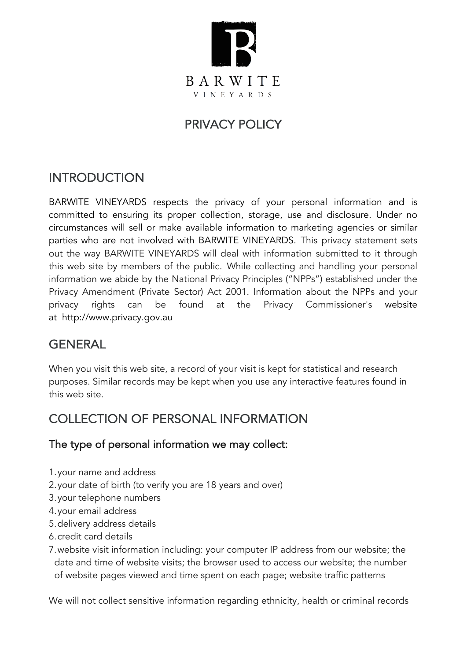

# PRIVACY POLICY

## **INTRODUCTION**

BARWITE VINEYARDS respects the privacy of your personal information and is committed to ensuring its proper collection, storage, use and disclosure. Under no circumstances will sell or make available information to marketing agencies or similar parties who are not involved with BARWITE VINEYARDS. This privacy statement sets out the way BARWITE VINEYARDS will deal with information submitted to it through this web site by members of the public. While collecting and handling your personal information we abide by the National Privacy Principles ("NPPs") established under the Privacy Amendment (Private Sector) Act 2001. Information about the NPPs and your privacy rights can be found at the Privacy Commissioner's website at http://www.privacy.gov.au

## GENERAL

When you visit this web site, a record of your visit is kept for statistical and research purposes. Similar records may be kept when you use any interactive features found in this web site.

# COLLECTION OF PERSONAL INFORMATION

#### The type of personal information we may collect:

- 1.your name and address
- 2.your date of birth (to verify you are 18 years and over)
- 3.your telephone numbers
- 4.your email address
- 5.delivery address details
- 6.credit card details
- 7.website visit information including: your computer IP address from our website; the date and time of website visits; the browser used to access our website; the number of website pages viewed and time spent on each page; website traffic patterns

We will not collect sensitive information regarding ethnicity, health or criminal records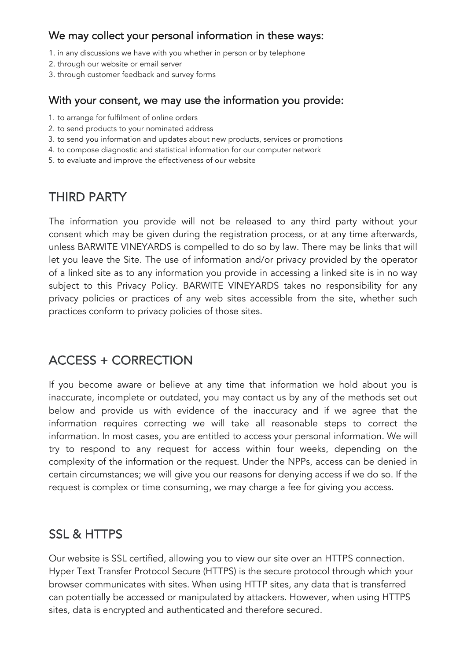#### We may collect your personal information in these ways:

- 1. in any discussions we have with you whether in person or by telephone
- 2. through our website or email server
- 3. through customer feedback and survey forms

#### With your consent, we may use the information you provide:

- 1. to arrange for fulfilment of online orders
- 2. to send products to your nominated address
- 3. to send you information and updates about new products, services or promotions
- 4. to compose diagnostic and statistical information for our computer network
- 5. to evaluate and improve the effectiveness of our website

# THIRD PARTY

The information you provide will not be released to any third party without your consent which may be given during the registration process, or at any time afterwards, unless BARWITE VINEYARDS is compelled to do so by law. There may be links that will let you leave the Site. The use of information and/or privacy provided by the operator of a linked site as to any information you provide in accessing a linked site is in no way subject to this Privacy Policy. BARWITE VINEYARDS takes no responsibility for any privacy policies or practices of any web sites accessible from the site, whether such practices conform to privacy policies of those sites.

## ACCESS + CORRECTION

If you become aware or believe at any time that information we hold about you is inaccurate, incomplete or outdated, you may contact us by any of the methods set out below and provide us with evidence of the inaccuracy and if we agree that the information requires correcting we will take all reasonable steps to correct the information. In most cases, you are entitled to access your personal information. We will try to respond to any request for access within four weeks, depending on the complexity of the information or the request. Under the NPPs, access can be denied in certain circumstances; we will give you our reasons for denying access if we do so. If the request is complex or time consuming, we may charge a fee for giving you access.

## SSL & HTTPS

Our website is SSL certified, allowing you to view our site over an HTTPS connection. Hyper Text Transfer Protocol Secure (HTTPS) is the secure protocol through which your browser communicates with sites. When using HTTP sites, any data that is transferred can potentially be accessed or manipulated by attackers. However, when using HTTPS sites, data is encrypted and authenticated and therefore secured.